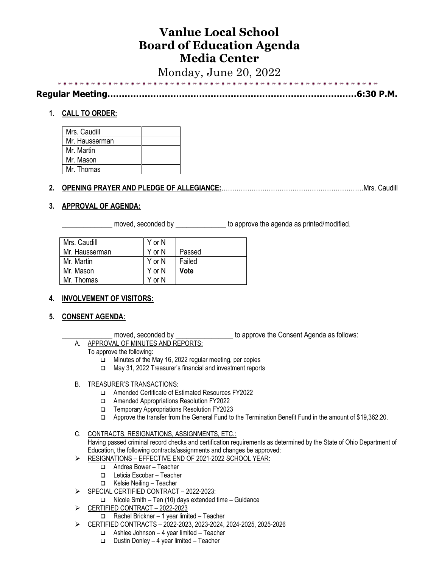# **Vanlue Local School Board of Education Agenda Media Center**

Monday, June 20, 2022

| . |  |  |  |  |  |  |  |  | $\overline{a}$ $\overline{a}$ $\overline{b}$ $\overline{b}$ $\overline{b}$ |  |
|---|--|--|--|--|--|--|--|--|----------------------------------------------------------------------------|--|
|   |  |  |  |  |  |  |  |  |                                                                            |  |

**Regular Meeting……………………………………………………………………………6:30 P.M.**

# **1. CALL TO ORDER:**

| Mrs. Caudill   |  |
|----------------|--|
| Mr. Hausserman |  |
| Mr. Martin     |  |
| Mr. Mason      |  |
| Mr. Thomas     |  |

# **2. OPENING PRAYER AND PLEDGE OF ALLEGIANCE:**…………………………………………………………Mrs. Caudill

### **3. APPROVAL OF AGENDA:**

\_\_\_\_\_\_\_\_ moved, seconded by \_\_\_\_\_\_\_\_\_\_\_\_\_\_\_\_\_ to approve the agenda as printed/modified.

| Mrs. Caudill   | Y or N |        |  |
|----------------|--------|--------|--|
| Mr. Hausserman | Y or N | Passed |  |
| Mr. Martin     | Y or N | Failed |  |
| Mr. Mason      | Y or N | Vote   |  |
| Mr. Thomas     | Y or N |        |  |
|                |        |        |  |

#### **4. INVOLVEMENT OF VISITORS:**

#### **5. CONSENT AGENDA:**

moved, seconded by \_\_\_\_\_\_\_\_\_\_\_\_\_\_\_\_\_\_ to approve the Consent Agenda as follows:

- A. APPROVAL OF MINUTES AND REPORTS:
	- To approve the following:
		- ❑ Minutes of the May 16, 2022 regular meeting, per copies
		- ❑ May 31, 2022 Treasurer's financial and investment reports

#### B. TREASURER'S TRANSACTIONS:

- ❑ Amended Certificate of Estimated Resources FY2022
- ❑ Amended Appropriations Resolution FY2022
- ❑ Temporary Appropriations Resolution FY2023
- ❑ Approve the transfer from the General Fund to the Termination Benefit Fund in the amount of \$19,362.20.
- C. CONTRACTS, RESIGNATIONS, ASSIGNMENTS, ETC.:

Having passed criminal record checks and certification requirements as determined by the State of Ohio Department of Education, the following contracts/assignments and changes be approved:

- ➢ RESIGNATIONS EFFECTIVE END OF 2021-2022 SCHOOL YEAR:
	- ❑ Andrea Bower Teacher
	- ❑ Leticia Escobar Teacher
	- ❑ Kelsie Neiling Teacher
- ➢ SPECIAL CERTIFIED CONTRACT 2022-2023:
	- ❑ Nicole Smith Ten (10) days extended time Guidance
- ➢ CERTIFIED CONTRACT 2022-2023
	- ❑ Rachel Brickner 1 year limited Teacher
- ➢ CERTIFIED CONTRACTS 2022-2023, 2023-2024, 2024-2025, 2025-2026
	- ❑ Ashlee Johnson 4 year limited Teacher
	- ❑ Dustin Donley 4 year limited Teacher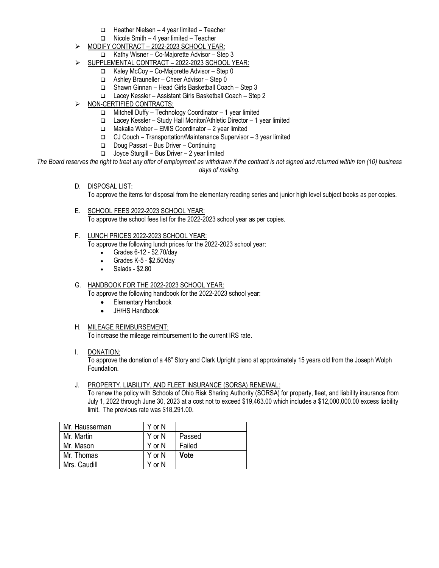- ❑ Heather Nielsen 4 year limited Teacher
- ❑ Nicole Smith 4 year limited Teacher
- ➢ MODIFY CONTRACT 2022-2023 SCHOOL YEAR:
	- ❑ Kathy Wisner Co-Majorette Advisor Step 3
- SUPPLEMENTAL CONTRACT 2022-2023 SCHOOL YEAR:
	- ❑ Kaley McCoy Co-Majorette Advisor Step 0
	- ❑ Ashley Brauneller Cheer Advisor Step 0
	- ❑ Shawn Ginnan Head Girls Basketball Coach Step 3
	- ❑ Lacey Kessler Assistant Girls Basketball Coach Step 2
- ➢ NON-CERTIFIED CONTRACTS:
	- ❑ Mitchell Duffy Technology Coordinator 1 year limited
	- ❑ Lacey Kessler Study Hall Monitor/Athletic Director 1 year limited
	- ❑ Makalia Weber EMIS Coordinator 2 year limited
	- ❑ CJ Couch Transportation/Maintenance Supervisor 3 year limited
	- ❑ Doug Passat Bus Driver Continuing
	- ❑ Joyce Sturgill Bus Driver 2 year limited

*The Board reserves the right to treat any offer of employment as withdrawn if the contract is not signed and returned within ten (10) business days of mailing.*

D. DISPOSAL LIST:

To approve the items for disposal from the elementary reading series and junior high level subject books as per copies.

- E. SCHOOL FEES 2022-2023 SCHOOL YEAR: To approve the school fees list for the 2022-2023 school year as per copies.
- F. LUNCH PRICES 2022-2023 SCHOOL YEAR: To approve the following lunch prices for the 2022-2023 school year:
	- Grades 6-12 \$2.70/day
	- Grades K-5 \$2.50/day
	- Salads \$2.80
- G. HANDBOOK FOR THE 2022-2023 SCHOOL YEAR:

To approve the following handbook for the 2022-2023 school year:

- Elementary Handbook
- JH/HS Handbook
- H. MILEAGE REIMBURSEMENT: To increase the mileage reimbursement to the current IRS rate.
- I. DONATION:

To approve the donation of a 48" Story and Clark Upright piano at approximately 15 years old from the Joseph Wolph Foundation.

J. PROPERTY, LIABILITY, AND FLEET INSURANCE (SORSA) RENEWAL:

To renew the policy with Schools of Ohio Risk Sharing Authority (SORSA) for property, fleet, and liability insurance from July 1, 2022 through June 30, 2023 at a cost not to exceed \$19,463.00 which includes a \$12,000,000.00 excess liability limit. The previous rate was \$18,291.00.

| Mr. Hausserman | Y or N |        |  |
|----------------|--------|--------|--|
| Mr. Martin     | Y or N | Passed |  |
| Mr. Mason      | Y or N | Failed |  |
| Mr. Thomas     | Y or N | Vote   |  |
| Mrs. Caudill   | Y or N |        |  |